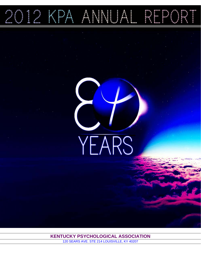2012 KPA ANNUAL REPORT

YEARS

**KENTUCKY PSYCHOLOGICAL ASSOCIATION** 120 SEARS AVE. STE 214 LOUISVILLE, KY 40207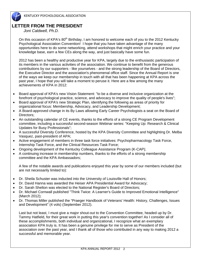# **LETTER FROM THE PRESIDENT**

 *Joni Caldwell, Ph.D.*

On this occasion of KPA's  $80<sup>th</sup>$  Birthday, I am honored to welcome each of you to the 2012 Kentucky Psychological Association Convention! I hope that you have taken advantage of the many opportunities here to do some networking, attend workshops that might enrich your practice and your knowledge base, earn a few CEs along the way, and just basically have some fun.

2012 has been a healthy and productive year for KPA, largely due to the enthusiastic participation of its members in the various activities of the association. We continue to benefit from the generous contributions by our supporters - like yourselves - and the strong leadership of the Board of Directors, the Executive Director and the association's phenomenal office staff. Since the Annual Report is one of the ways we keep our membership in touch with all that has been happening at KPA across the past year, I hope that you will take a moment to peruse it. Here are a few among the many achievements of KPA in 2012:

- Board approval of KPA's new Vision Statement: "to be a diverse and inclusive organization at the forefront of psychological practice, science, and advocacy to improve the quality of people's lives";
- Board approval of KPA's new Strategic Plan, identifying the following as areas of priority for organizational focus: Membership, Advocacy, and Leadership Development;
- A Board-approved change in its By Laws allowing Early Career Psychologists a seat on the Board of Directors;
- An outstanding calendar of CE events, thanks to the efforts of a strong CE Program Development committee, including a successful second-season Webinar series: "Keeping Up: Research & Clinical Updates for Busy Professionals";
- A successful Diversity Conference, hosted by the KPA Diversity Committee and highlighting Dr. Melba Vasquez, past-president of APA;
- Active engagement of members in three task force initiatives: Psychopharmacology Task Force, Internship Task Force, and the Clinical Resources Task Force;
- Ongoing development of the Kentucky Colleague Assistance Program (K-CAP);
- A continuing increase in membership numbers, thanks to the efforts of a strong membership committee and the KPA Ambassadors;

A few of the notable awards and publications enjoyed this year by some of our members included (but are not necessarily limited to):

- Dr. Sheila Schuster was inducted into the University of Louisville Hall of Honors;
- Dr. David Hanna was awarded the Heiser APA Presidential Award for Advocacy;
- Dr. Sarah Shelton was elected to the National Register's Board of Directors;
- Dr. Michael Cornwall published "Think Twice: A Learner's Guide to Improved Emotional Intelligence" (March 2012);
- Dr. Thomas Miller published the "Praeger Handbook of Veterans' Health: History, Challenges, Issues and Development" (4 vols) (September 2012).

Last but not least, I must give a major shout-out to the Convention Committee, headed up by Dr. Tammy Hatfield, for their great work in putting this year's convention together! As I consider all of these accomplishments, both individual and organizational, I recognize what an exemplary association KPA truly is. It has been a genuine privilege for me to serve as President of the association over the past year, and I thank all of those who contributed in any way to making 2012 a successful and memorable year.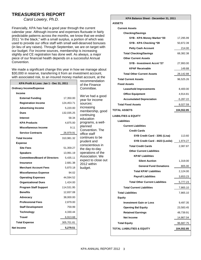# **TREASURER'S REPORT**

 *Carol Lowery, Ph.D.*

Financially, KPA has had a good year through the current calendar year. Although income and expenses fluctuate in fairly predictable patterns across the months, we know that we ended 2011 "in the black," with a small surplus, a portion of which was used to provide our office staff with small well-deserved bonuses (in lieu of any raises). Through September, we are on target with our budget. For income sources, membership is increasing slightly and CE registration has done well. As always, a major piece of our financial health depends on a successful Annual Convention.

We made a significant change this year in how we manage about \$30,000 in reserve, transferring it from an investment account, with associated risk, to an insured money market account, at the

| KPA Profit & Loss: Jan 1 - Dec 31, 2011 |            |  |  |  |
|-----------------------------------------|------------|--|--|--|
| <b>Ordinary Income/Expense</b>          |            |  |  |  |
| Income                                  |            |  |  |  |
| <b>External Funding</b>                 | 17,350.00  |  |  |  |
| <b>Registration Income</b>              | 124,453.71 |  |  |  |
| <b>Advertising Income</b>               | 5,220.00   |  |  |  |
| Dues                                    | 132,035.25 |  |  |  |
| <b>Interest</b>                         | 58.34      |  |  |  |
| <b>KPA Products</b>                     | 4,875.00   |  |  |  |
| Miscellaneous Income                    | 9.11       |  |  |  |
| <b>Service Contracts</b>                | 26,979.91  |  |  |  |
| <b>Total Income</b>                     | 310,981.32 |  |  |  |
| <b>Expense</b>                          |            |  |  |  |
| <b>Site Fees</b>                        | 51,359.27  |  |  |  |
| <b>Speakers</b>                         | 13,991.19  |  |  |  |
| <b>Committees/Board of Directors</b>    | 5,435.11   |  |  |  |
| <b>Insurance</b>                        | 2,681.38   |  |  |  |
| <b>Merchant Account Fees</b>            | 5,870.18   |  |  |  |
| <b>Miscellaneous Expense</b>            | 94.02      |  |  |  |
| <b>Operating Expenses</b>               | 44,594.52  |  |  |  |
| <b>Organizational Dues</b>              | 1,424.00   |  |  |  |
| <b>Program Staff Support</b>            | 114,531.95 |  |  |  |
| <b>Benefits</b>                         | 12,837.08  |  |  |  |
| Advocacy                                | 38,000.00  |  |  |  |
| <b>Professional Fees</b>                | 2,879.00   |  |  |  |
| <b>Staff Development</b>                | 759.99     |  |  |  |
| <b>Technology</b>                       | 4,330.44   |  |  |  |
| Travel                                  | 6,913.68   |  |  |  |
| <b>Total Expense</b>                    | 305,701.81 |  |  |  |
| <b>Net Income</b>                       | 5,279.51   |  |  |  |
|                                         |            |  |  |  |

recommendation of the Finance Committee. We've had a good year for income sources: increasing membership, good continuing education programs, a wellplanned Convention. The office staff continues to be prudent and conscientious in the day-to-day operations of the Association. We expect to close out 2012 within budget.

# **KPA Balance Sheet - December 31, 2011**

| æ.<br>v. |
|----------|
|----------|

| <b>KPA Balance Sheet - December 31, 2011</b> |                      |  |
|----------------------------------------------|----------------------|--|
| <b>ASSETS</b>                                |                      |  |
| <b>Current Assets</b>                        |                      |  |
| <b>Checking/Savings</b>                      |                      |  |
| SYB - KPA Money Market *20                   | 17,295.99            |  |
| SYB - KPA Checking *39                       | 50,872.39            |  |
| <b>Petty Cash Account</b>                    | 214.00               |  |
| <b>Total Checking/Savings</b>                | 68,382.38            |  |
| <b>Other Current Assets</b>                  |                      |  |
| SYB - Investment Accnt *27                   | 27,993.00            |  |
| <b>KPAF Receivable</b>                       | 149.88               |  |
| <b>Total Other Current Assets</b>            | 28,142.88            |  |
| <b>Total Current Assets</b>                  | 96,525.26            |  |
| <b>Fixed Assets</b>                          |                      |  |
| <b>Leasehold Improvements</b>                | 8,400.00             |  |
| <b>Office Equipment</b>                      | 4,914.81             |  |
| <b>Accumulated Depreciation</b>              | $-5,287.22$          |  |
| <b>Total Fixed Assets</b>                    | 8,027.59             |  |
| TOTAL ASSETS                                 | 104,552.85           |  |
| LIABILITIES & EQUITY                         |                      |  |
| <b>Liabilities</b>                           |                      |  |
| <b>Current Liabilities</b>                   |                      |  |
| <b>Credit Cards</b>                          |                      |  |
| SYB Credit Card - 3391 (Lisa)                | 113.60               |  |
| SYB Credit Card - 4423 (Leslie) 1,974.27     |                      |  |
| <b>Total Credit Cards</b>                    | 2,087.87             |  |
| <b>Other Current Liabilities</b>             |                      |  |
| <b>KPAF Liabilities</b>                      |                      |  |
| <b>Silent Auction</b>                        | 1,319.00             |  |
| <b>General Fund Donations</b>                | 805.00               |  |
| <b>Total KPAF Liabilities</b>                | 2,124.00             |  |
| <b>Payroll Liabilities</b>                   | 3,653.23             |  |
| <b>Total Other Current Liabilities</b>       | 5,777.23             |  |
| <b>Total Current Liabilities</b>             |                      |  |
| <b>Total Liabilities</b>                     | 7,865.10<br>7,865.10 |  |
| <b>Equity</b>                                |                      |  |
| <b>Investment Gain or Loss</b>               | 9,497.35             |  |
| <b>Opening Bal Equity</b>                    | 23,583.45            |  |
| <b>Retained Earnings</b>                     | 48,739.91            |  |
| <b>Net Income</b>                            | 14,867.04            |  |
|                                              |                      |  |
| <b>Total Equity</b>                          | 96,687.75            |  |
| TOTAL LIABILITIES & EQUITY                   | 104,552.85           |  |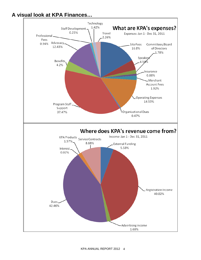# **A visual look at KPA Finances…**

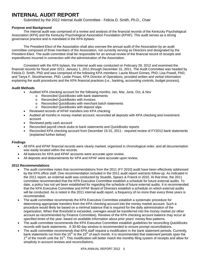# **INTERNAL AUDIT REPORT**

Submitted by the 2012 Internal Audit Committee - Felicia D. Smith, Ph.D., Chair

## **Purpose and Background**

The internal audit was comprised of a review and analysis of the financial records of the Kentucky Psychological Association (KPA) and the Kentucky Psychological Association Foundation (KPAF). This audit serves as a strong governance practice and is mandated in the KPA bylaws:

The President-Elect of the Association shall also oversee the annual audit of the Association by an audit committee composed of three members of the Association, not currently serving as Directors and designated by the President-Elect. The audit committee shall be responsible for an annual review of the financial record of receipts and expenditures incurred in connection with the administration of the Association.

Consistent with the KPA bylaws, the internal audit was conducted on February 29, 2012 and examined the financial records for fiscal year 2011: January 1, 2011 through December 31, 2011. The Audit Committee was headed by Felicia D. Smith, PhD and was comprised of the following KPA members: Laurie Mount Grimes, PhD; Lisa Powell, PhD; and Tanya F. Stockhammer, PhD. Leslie Proasi, KPA Director of Operations, provided written and verbal information explaining the audit procedures and the KPA financial practices (i.e., banking, accounting controls, budget process).

## **Audit Methods**

- Audited KPA checking account for the following months: Jan, Mar, June, Oct, & Nov
	- o Reconciled QuickBooks with bank statements
	- o Reconciled QuickBooks with invoices
	- o Reconciled QuickBooks with merchant batch statements
	- o Reconciled QuickBooks with deposit slips
	- Reviewed records of KPAF transfers into KPA checking
- Audited all months in money market account; reconciled all deposits with KPA checking and investment account
- Reviewed petty cash account
- Reconciled payroll check stubs to bank statements and QuickBooks reports
- Reconciled KPA checking account from December 15-31, 2011 required review of FY2012 bank statements (explained further below)

#### **Findings**

- All KPA and KPAF financial records were clearly marked, organized in chronological order, and all documentation was easily located within the records.
- All balances for KPA and KPAF accounts were accurate upon review.
- All deposits and disbursements for KPA and KPAF were accurate upon review.

## **2012 Recommendations**

- The audit committee notes that recommendations from the 2011 (FY 2010) audit have been effectively addressed by the KPA office staff. One recommendation included in the 2011 audit report warrants follow-up. As indicated in the 2011 report, an external audit was conducted by Stuedle, Spears & Franck in 2010. At that time, the 2011 committee recommended that the KPA Executive Committee establish a schedule for future external audits. To date, a policy has not yet been established for regarding the schedule of future external audits. It is recommended that the KPA Executive Committee and KPAF Board of Directors establish a schedule on which external audits will be conducted. As is noted in the 2011 internal audit report, a frequency of no more than every three years is recommended.
- The audit committee recommends the KPA Executive Committee establish a systematic procedure for determining appropriate transfers from the KPA checking account into the money market account. Such a procedure would likely be based on a minimal balance that is required for the daily administration of the organization. When that threshold is exceeded, overages would be transferred into the money market (or other account as recommended by Finance Committee). Reviews of the KPA checking account balance may occur at specified times of the year, based on available information about prior years' money flow patterns.
- The audit committee recommends the KPA Executive Committee establish guidelines for reconciling QuickBooks records with bank statements. A 30-60 day window is recommended to ensure prompt reconciliations.
- The audit committee recommends that KPA staff request a modification in the bank statement periods. Currently, bank statements run from the 15<sup>th</sup> to the 15<sup>th</sup> of each month. It is recommended that statement periods span the 1<sup>st</sup> of the month until the 31<sup>st</sup>. This modification will better match the monthly filing system of receipts and allow for simplicity in account reviews and reconciliations.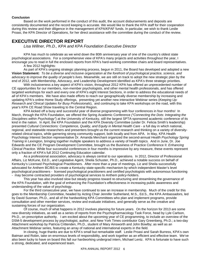#### **Conclusion**

Based on the work performed in the conduct of this audit, the account disbursements and deposits are consistently documented and the record keeping is accurate. We would like to thank the KPA staff for their cooperation during this review and their diligence in the management of KPA/KPAF funds. In particular, we wish to thank Leslie Proasi, the KPA Director of Operations, for her direct assistance with the committee during the conduct of the review.

# **EXECUTIVE DIRECTOR REPORT**

*Lisa Willner, Ph.D., KPA and KPA Foundation Executive Director* 

KPA has much to celebrate as we wind down the 80th anniversary year of one of the country's oldest state psychological associations. For a comprehensive view of KPA's many projects and activities throughout the year, I encourage you to read in full the enclosed reports from KPA's hard-working committee chairs and board representatives. A few 2012 highlights:

As part of KPA's ongoing strategic planning process, begun in 2011, the Board has developed and adopted a new **Vision Statement:** *To be a diverse and inclusive organization at the forefront of psychological practice, science, and advocacy to improve the quality of people's lives.* Meanwhile, we are still on track to adopt the new strategic plan by the end of 2012, with Membership, Advocacy, and Leadership Development identified as KPA's three strategic priorities.

With inclusiveness a key aspect of KPA's vision, throughout 2012 KPA has offered an unprecedented number of CE opportunities for our members, non-member psychologists, and other mental health professionals, and has offered targeted workshops for each and every one of KPA's eight Interest Sections, in order to address the educational needs of *all* of KPA's members. We have also made efforts to reach our geographically diverse membership by increasing and updating KPA's online Home Study offerings, presenting yet another new interactive Webinar series (*Keeping Up: Research and Clinical Updates for Busy Professionals*), and continuing to take KPA workshops on the road, with this year's KPA CE Road Show traveling to the Central Region.

KPA kicked off a busy and successful year of diverse programming with four conferences in four months! In March, through the KPA Foundation, we offered the Spring Academic Conference *("Connecting the Dots: Integrating the Disciplines within Psychology"*) at the University of Kentucky, still the largest SPTA-sponsored academic conference of its kind in the nation. In April, the KPA Foundation and the KPA Diversity Committee (under Dr. Felicia Smith's leadership) presented *Cultural Connections: Competence, Quality, and Equity in Mental Health Care* - a full day in which national, regional, and statewide researchers and presenters brought us the current research and thinking on a variety of diversityrelated clinical topics, while garnering strong community support, both locally and from APA. In May, KPA Health Psychology Interest Section representative Dr. Amanda Merchant organized the second-annual *Health Psychology Spring Training* in Lexington, bringing together multiple speakers to address a variety of health topics. And in June, Dr. Joe Edwards and the CE Program Development Committee, brought us the Business of Practice Conference II: *Enhancing Clinical Practice.* While four successful conferences in four months is impressive by any measure, these events represent only a fraction of KPA's full 2012 Continuing Education calendar.

As a professional association, advocacy is always central to our operations. In 2012, Director of Professional Affairs, Liz McKune, Ed.D., and Legislative Agent, Sheila Schuster, Ph.D., achieved a notable success on behalf of Kentucky's Licensed Psychological Practitioners. After more than a year of meetings, Liz and Sheila successfully advocated for Anthem BC/BS to create a Kentucky state-specific mechanism by which independent Master's level psychological practitioners - licensed psychological practitioners and certified psychologists with autonomous functioning - may become contracted providers of psychological services to Anthem policy-holders.

This year has also involved slow but steady progress toward re-structuring and streamlining the governance of the KPA Foundation, with the goal of enhancing the Foundation's effectiveness in increasing public awareness and understanding of the value of psychology.

For the third consecutive year, we have continued to see an increase in membership. Much of the credit for this goes to the Membership Committee, headed by Acting Chair Jennifer Sutherland, M.S., Ed.S., the KPA Ambassadors, led by David Susman, Ph.D., and all of the hardworking KPA Committees who plan and implement programs, provide consultation and other member services, review and evaluate initiatives, and generally serve as the creative and sustaining forces of our organization.

Of course, much of what happens in 2012 involves planning for future years. On the horizon for 2013 are some new diversity initiatives, as well as a series of reports from the Psychopharmacology Task Force, head by Lyle Carlson, Ph.D., on prescriptive authority. I am excited about the upcoming year of CE programming, to include an overview of the DSM-5 development process by psychologist, author, and New York Times contributor Gary Greenberg, Ph.D.; a two-day Attachment workshop by Patricia Crittenden, Ph.D., student of Mary Ainsworth and John Bowlby; as well as an Attachment Webinar series, featuring an array of national and international experts in the field.

In closing, huge thanks are due to KPA's small but remarkable staff. Leslie Proasi and Sarah Burress, KPA's own Batman and Robin, take on enormous levels of responsibility, and work together as an efficient and effective team. We've also been lucky to have on board this fall our hardworking undergrad intern, Michael Lentz. KPA is fortunate to have such a strong, dedicated, and experienced team.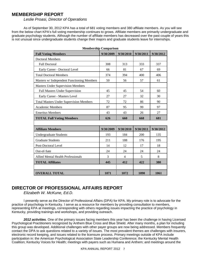# **MEMBERSHIP REPORT**

*Leslie Proasi, Director of Operations* 

As of September 30, 2012 KPA has a total of 681 voting members and 380 affiliate members. As you will see from the below chart KPA's full voting membership continues to grows. Affiliate members are primarily undergraduate and graduate psychology students. Although the number of affiliate members has decreased over the past couple of years this is not unusual since undergraduate students change their majors and graduate students leave for internships.

| менноствир сотраться                           |           |                |           |           |
|------------------------------------------------|-----------|----------------|-----------|-----------|
| <b>Full Voting Members</b>                     | 9/30/2009 | 9/30/2010      | 9/30/2011 | 9/30/2012 |
| <b>Doctoral Members</b>                        |           |                |           |           |
| <b>Full Doctoral</b>                           | 308       | 313            | 333       | 337       |
| Early Career - Doctoral Level                  | 66        | 81             | 67        | 69        |
| <b>Total Doctoral Members</b>                  | 374       | 394            | 400       | 406       |
| Masters w/ Independent Functioning Members     | 50        | 56             | 57        | 61        |
| <b>Masters Under Supervision Members</b>       |           |                |           |           |
| <b>Full Masters Under Supervision</b>          | 45        | 45             | 54        | 60        |
| Early Career - Masters Level                   | 27        | 27             | 32        | 30        |
| <b>Total Masters Under Supervision Members</b> | 72        | 72             | 86        | 90        |
| Academic Members                               | 87        | 95             | 99        | 97        |
| <b>Emeritus Members</b>                        | 43        | 43             | 26        | 27        |
| <b>TOTAL Full Voting Members</b>               | 626       | 660            | 668       | 681       |
|                                                |           |                |           |           |
| <b>Affiliate Members</b>                       | 9/30/2009 | 9/30/2010      | 9/30/2011 | 9/30/2012 |
| <b>Undergraduate Students</b>                  | 193       | 184            | 200       | 135       |
| <b>Graduate Students</b>                       | 211       | 188            | 176       | 195       |
| Post-Doctoral Level                            | 14        | 12             | 17        | 18        |
| Out-of-Sate                                    | 24        | 24             | 24        | 24        |
| <b>Allied Mental Health Professionals</b>      | 3         | $\overline{4}$ | 5         | 8         |
| <b>TOTAL Affiliates</b>                        | 445       | 412            | 422       | 380       |
|                                                |           |                |           |           |
| <b>OVERALL TOTAL</b>                           | 1071      | 1072           | 1090      | 1061      |

**Membership Comparison** 

# **DIRECTOR OF PROFESSIONAL AFFAIRS REPORT**

 *Elizabeth W. McKune, Ed.D.* 

I presently serve as the Director of Professional Affairs (DPA) for KPA. My primary role is to advocate for the practice of psychology in Kentucky. I serve as a resource for members by providing consultation to members, representing KPA at meetings, corresponding with others regarding issues impacting the practice of psychology in Kentucky, providing trainings and workshops, and providing outreach.

*2012 activities.* One of the primary issues facing members this year has been the challenge in having Licensed Psychological Practitioners recognized by Anthem Blue Cross and Blue Shield. After many months, a plan for including this group was developed. Additional challenges with other payer groups are now being addressed. Members frequently contact the DPA to ask questions related to a variety of issues. The most prevalent themes are challenges with insurers, electronic record keeping, and issues related to the licensure process. Primary meetings outside of KPA include participation in: the American Psychological Association State Leadership Conference; the Kentucky Mental Health Coalition; Kentucky Voices for Health; meetings with payers such as Humana and Anthem; and meetings around the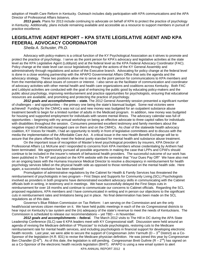adoption of Health Care Reform in Kentucky. Outreach includes daily participation with KPA communications and the APA Director of Professional Affairs listservs.

*2013 goals.* Plans for 2013 include continuing to advocate on behalf of KPA to protect the practice of psychology in Kentucky. Additionally, plans include remaining available and accessible as a resource to support members in pursuit of practice excellence.

# **LEGISLATIVE AGENT REPORT – KPA STATE LEGISLATIVE AGENT AND KPA FEDERAL ADVOCACY COORDINATOR**

 *Sheila A. Schuster, Ph.D.*

Advocacy with policy-makers is a critical function of the KY Psychological Association as it strives to promote and protect the practice of psychology. I serve as the point person for KPA's advocacy and legislative activities at the state level as the KPA Legislative Agent (Lobbyist) and at the federal level as the KPA Federal Advocacy Coordinator (FAC). Policy change at the state level can occur legislatively through the actions of the KY General Assembly and administratively through regulations and action of the Executive branch. Advocating for policy change at the federal level is done in a close working partnership with the APAPO Governmental Affairs Office that sets the agenda and the advocacy strategy. These two positions allow me to serve as the point person for communications to KPA members and from the membership about issues of concern or interest. I also serve as the facilitator of communication and coordinator of advocacy activities with other mental health and health care organizations and coalitions across Kentucky. Both FAC and Lobbyist activities are conducted with the goal of enhancing the public good by educating policy-makers and the public about psychology, improving reimbursement and practice opportunities for psychologists, ensuring that educational resources are available, and promoting and protecting the practice of psychology.

*2012 goals and accomplishments – state.* The 2012 General Assembly session presented a significant number of challenges – and opportunities – the primary one being the state's biannual budget. Some real victories were achieved! Funding for the CMHCs was not cut and new money was budgeted for an outpatient substance abuse treatment benefit to begin for a limited number of adults in the Medicaid program. In addition, new money was budgeted for housing and supported employment for individuals with severe mental illness. The advocacy calendar was full of opportunities – beginning with my annual workshop on being an effective advocate to three capitol rallies for individuals with disabilities throughout the session. Consumers presented excellent testimony and family members about the negative impact of Medicaid managed care on them and on the CMHCs. As chair of the statewide health advocacy coalition, KY Voices for Health, I had an opportunity to testify in front of legislative committees and to discuss with the media the implementation of the Affordable Care Act. A critical issue in the new Health Benefit Exchange will be to assure that the plans offered fully meet the federal parity standard for mental health and substance abuse treatment.

On the important issue of recognition of Master's-level psychological providers by insurers, KPA Director of Professional Affairs Liz McKune and I responded to concerns from KPA members whose credentialing by Anthem had been terminated. We aggressively pursued all possible arguments in making the case that LPPs and CPAFs should continue to be included in the insurer's network of behavioral health providers. The successful outcome of our work has been published in *The KP* and posted on the KPA website with the reminder that "Your Dues Pay Off!" We have also met on an ongoing basis with the Humana Insurance Medical Director to resolve a discrepancy in reimbursement for health psychology services billed on the physical health side as opposed to those reimbursed on the mental health side. Here again, a successful resolution has been obtained!

Promulgation of administrative regulations by the Cabinet for Health & Family Services has threatened the reimbursement of psychologists in two program – First Steps and Supports for Community Living.(SCL) Psychologists involved as providers in both programs have demonstrated excellent advocacy skills in communicating with the Cabinet officials both in writing, in testimony and in meetings. We have successfully delayed the First Steps cuts in reimbursement for over 18 months and continue to communicate our concerns to Cabinet officials. Regarding the SCL proposed regulations, KPA members and I have communicated in writing and in person our objections to the significant cuts in reimbursement rates and limitations being put in place. No final determination has been made on the SCL regulations as of this date.

Governor's Blue Ribbon Commission on Tax Reform: I am serving on the Commission and am the only health/social services citizen member on it. We have held public meetings in each of the six Congressional districts to hear input on Kentucky's tax system and the (in) adequacy of the state's revenue to meet the needs of Kentuckians. The Commission is scheduled to release our recommendations – yet TBD – in November.

*2012 goals and accomplishments – federal.*The March 2012 visits to The Hill in DC during the APA State Leadership Conference (SLC) saw 6 KPA leaders meet with KY Congressional staff. Discussion were held around an agenda of revising the Medicare definition of "Physician" to include psychologists, restoring cuts to the Medicare reimbursement rate for mental health services, and including psychologists in financial support for developing electronic health records. Last year, we were able to secure the support of Congressman John Yarmuth ( $D - 3^{rd}$  District) as a Co-Sponsor of the legislation (H.R. 831) to revise the Medicare physician definition. He was joined this year by Congressman Ben Chandler (D-6<sup>th</sup>). As of this date, the legislation is still pending. Congressman Brett Guthrie (R – 2<sup>nd</sup>) has signed on as a Co-Sponsor of the electronic health records legislation (BHIT). APAPO is using a new email system to alert

KPA ANNUAL REPORT 2012 8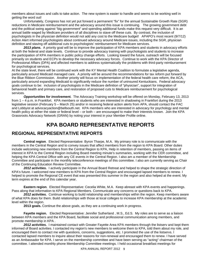members about issues and calls to take action. The new system is easier to handle and seems to be working well in getting the word out!

Unfortunately, Congress has not yet put forward a permanent "fix" for the annual Sustainable Growth Rate (SGR) reductions in Medicare reimbursement and the advocacy around this issue is continuing. The growing government debt and the political swing against "big government" and spending additional funds make this request very difficult. It is an annual battle waged by Medicare providers of all disciplines to stave off these cuts. By contrast, the inclusion of psychologists in the physician definition would not add any cost to the Medicare budget! APAPO's most recent (9/7/12) Action Alert informed psychologists about continued advocacy around Medicare issues, including the SGR, physician definition and staving off additional cuts to psychologists' reimbursement for Medicare services.

 *2013 plans.*A priority goal will be to improve the participation of KPA members and students in advocacy efforts at both the federal and state levels. Continue to provide advocacy training with psychologists and students to increase the participation of KPA members in public policy change efforts. Looking toward the future, outreach will be focused primarily on students and ECPs to develop the necessary advocacy forces. Continue to work with the KPA Director of Professional Affairs (DPA) and affected members to address systematically the problems with third-party reimbursement for psychological services.

At the state level, there will be continued work with the KY Mental Health Coalition to formulate a legislative agenda, particularly around Medicaid managed care. A priority will be around the recommendations for tax reform put forward by the Blue Ribbon Commission. Another priority will focus on implementation of the federal health care reform, the ACA, particularly around expanding Medicaid to significantly reduce the number of uninsured Kentuckians. Federal advocacy goals continue to be: inclusion of psychologists in the Medicare definition of "physician", support for integration of behavioral health and primary care, and restoration of proposed cuts to Medicare reimbursement for psychological services.

*Opportunities for involvement.*The Advocacy Training workshop will be offered on Monday, February 13, 2013 from 1 – 4 p.m. in Frankfort. KPA members or students who are interested in shadowing in Frankfort during the 2013 legislative session (February 5 – March 25) and/or in receiving federal action alerts from APA, should contact the FAC and Lobbyist at advocacyaction@bellsouth.net. KPA members who are interested in advocacy for psychology and mental health policy at either the state or federal level – or both – are encouraged to make their interests known. Join the KPA Grassroots Advocacy Network (GRAN) by noting your interest in your Member Profile online.

# **KPA BOARD REPRESENTATIVE REPORTS**

# **REGIONAL REPRESENTATIVE REPORTS**

**Central region**. Elected Representative: Byron Tharpe, M.A. My primary role is to communicate with the members in the Central Region and to convey issues that affect members from the region to KPA Board. Other duties include welcoming new members from the Central Region to KPA, Help in retention of members, passing on items of interest in KPA to the Central Region including Board meeting minute's summaries, working with the CER committee, and helping the KPA Central Office with any CE events in the Central Region. I also am a member of the Membership Committee and participate in the monthly teleconference meetings of this committee. I also am currently serving as Chair of the Continuing Education Review Committee.

*2012 activities.* I actively participate in the Annual Board Retreat and helped to shape the strategic direction of KPA's future. I welcomed new members to KPA from the Central Region and encouraged lapsed members to renew. I helped to promote the Regional CE event that was presented this summer in the region and also helped at the event. My term expires at the end of this calendar year.

**Eastern region**. Elected Representative: Cecelia White, M.A. Keep abreast with KPA events and happenings. Pass along that information to KPA Regional Members. Communicate any concerns or questions back to KPA.

*2012 activities.* Continue working to build relationship and memberships within the region. Keep members aware of what KPA does for them. Build relationships with those at local colleges to increase KPA membership at the academic level within the region.

**2013 goals.** Continue the above goals, as they are a continuing work in progress.

**Fayette region.** Elected Representative: Jennifer Sutherland , M.S., Ed.S. My roles are to serve as a liaison between KPA members and the KPA Board, facilitate social and professional communication among members, and promote membership in KPA .

*2012 activities.* I maintained contact with Greater Fayette Area KPA members through the listserv and kept them informed of Board activities. I contacted my region's new members to welcome them to KPA, told them about my role, and encouraged them to contact me with questions, concerns, suggestions, etc. I promoted the use of the listservs. I contacted lapsed members to inquire about their reasons for non-renewal and encouraged them to renew. I have served as an Ambassador for KPA. I serve on the membership committee and have been serving as "acting" chairman of the committee. I attended monthly phone Membership Committee meetings. I held occasional breakfast meetings for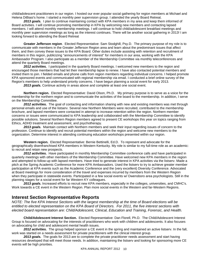child/adolescent practitioners in our region. I hosted our ever popular social gathering for region members at Michael and Helena DiBiasi's home. I started a monthly peer supervision group. I attended the yearly Board Retreat.

2013 goals. I plan to continue maintaining contact with KPA members in my area and keep them informed of Board activities. I will continue promoting membership in KPA by welcoming new members and contacting lapsed members. I will attend monthly membership meetings. I will continue to hold child/adolescent breakfast meetings and monthly peer supervision meetings as long as the interest continues. There will be another social gathering in 2013! I am looking forward to attending the Board Retreat

**Greater Jefferson region**. Elected Representative: Sam Stodghill, Psy.D. The primary purpose of my role is to communicate with members in the Greater Jefferson Region area and learn about the predominant issues that affect them, and then convey these issues to the KPA Board. Other duties include assisting with retention and recruitment of members in this region, publicizing "announcements of interest" for members in our area, working with the KPA Ambassador Program. I also participate as a member of the Membership Committee via monthly teleconferences and attend the quarterly Board meetings.

*2012 activities.* I participated in the quarterly Board meetings. I welcomed new members to the region and encouraged those members that had let their membership lapse to renew. I have also contacted potential members and invited them to join. I fielded emails and phone calls from region members regarding individual concerns. I helped promote KPA sponsored events and communicated with regional membership via email. I conducted a brief online survey of the Region's members to help understand priority concerns. I have begun planning a social event for early 2013.

*2013 goals.* Continue activity in areas above and complete at least one social event.

**Northern region.** Elected Representative: David Olson, Ph.D. My primary purpose is to serve as a voice for the membership for the northern region and to communicate the activities of the board to the membership. In addition, I serve on the Membership Committee.

*2012 activities.* The goal of contacting and information sharing with new and existing members was met through personal emails and use of the listserv. Several new Northern Members were recruited, contributed to the membership brochure, and lapsed members were contacted in attempt to increase retention within the region. Northern member concerns or issues were communicated to KPA leadership and collaborated with the Membership Committee to identify possible solutions. Several Northern Region members agreed to present CE workshops this year on topics ranging from Ethics, ADHD treatment and assessment, and psychotherapy.

*2013 goals.* Maintain contact with Northern members and seek their input regarding issues of concern to the profession. Continue to identify and recruit potential members within the region and welcome new members to the organization. Determine interest in attending continuing education workshops presented within our region.

**Western region.** Elected Representative: Bernie Bettinelli, Ed.D. To represent and advocate for the geographically disenfranchised KPA members in Western Kentucky. My role is similar to my full-time role as an academic: to recruit and retain new prospects.

*2012 activities.* Have participated in monthly Membership Committee conference calls and have participated in quarterly meetings with other members of the Membership Committee. Have welcomed new KPA members in the region and attempted to follow-up with lapsed members. Have tried to generate interest in KPA activities via the listserv. Made a pitch at the Spring Academic Conference for more KPA Ambassadors. Used the listserv to try to achieve greater member participation at KPA events such as the Academic Conference and the (very excellent) Diversity Conference. Advocated at Board meetings for more consideration of the travel and expenses incurred by members from the Western Region when they participate in statewide events. Participated in a few social events w/ Owensboro area psychologists. Still in the planning stages for a social event for far Western KY colleagues.

*2013 goals.* Increased efforts to recruit new KPA members, especially in the colleges, universities, and CMHC's. Work towards a CE event in the Western Region. Plan more social events in the Western and far-Western Regions.

# **Interest Section Representative Reports**

*NOTE: The five KPA Interest Sections with the largest membership at the time of Board elections will be entitled to elected representation on the KPA Board of Directors. For 2011, the five interest sections with elected board representation are: Child/Adolescent, Clinical, Education and Training, Forensic, and Health.* 

**Child/Adolescent Interest Section.** Elected Representative: Dan Florell, Ph.D. The Child/Adolescent Interest Group is focused on advocating for the interests of practitioners who work with children and adolescents. It also focuses on advocating for child and adolescent mental health issues.

*2012 activities.* The group helped sponsor a CE event in the spring and maintained an active listserv. In the fall, work was started on a needs assessment for private practitioners with the clinical interest group.

2013 goals. The goals for 2013 are to complete the private practitioner needs assessment and start having resources developed that will meet those needs. In addition, maintaining the listserv and looking for sponsoring more CE events will be high priorities.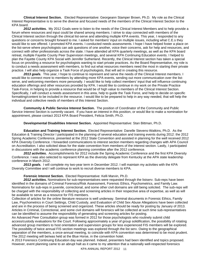**Clinical Interest Section.** Elected Representative: Georgeann Stamper Brown, Ph.D. My role as the Clinical Interest Representative is to serve the diverse and focused needs of the members of the Clinical Interest Section to the KPA board.

*2012 activities.* My 2012 Goals were to listen to the needs of the Clinical Interest Members and to help provide a forum where resources and input could be shared among members. I strive to stay connected with members of the Clinical Interest section through the clinical list-serve and attending multiple KPA events. This year, I responded to any questions or concerns brought forward to me. I asked for members' input on multiple issues, including what C.E.s they would like to see offered. I promoted KPA events. I conducted needs assessments. I hope I have helped foster a place on the list-serve where psychologists can ask questions of one another, voice their concerns, ask for help and resources, and connect with other professionals across the state. I have attended all KPA quarterly meetings, as well as the KPA board retreat, multiple Fayette County Peer Supervision meetings, and several KPA Continuing Education events. I helped to plan the Fayette County KPA Social with Jennifer Sutherland. Recently, the Clinical Interest section has taken a special focus on providing a resource for psychologists wanting to start private practices. As the Board Representative, my role is to conduct a needs assessment with members, to find out what resources members need the most in starting their private practice. I will also help organize a Task Force of psychologists, that will aid in creating this resource.

*2013 goals.* This year, I hope to continue to represent and serve the needs of the Clinical Interest members. I would like to connect more to members by attending more KPA events, sending out more communication over the listserve, and welcoming members more personally. I would like to help collect members' input that will influence continuing education offerings and other resources provided by KPA. I would like to continue in my work on the Private Practice Task-Force, in helping to provide a resource that would be of high value to members of the Clinical Interest Section. Specifically, I will conduct a needs assessment in this area, help to guide the Task Force, and help to decide on specific formatting/content to be included in the resource. I would like to be prepared to help in any way needed, that will help the individual and collective needs of members of this Interest Section.

**Community & Public Service Interest Section.** The position of Coordinator of the Community and Public Service Interest Section is currently vacant. If you have an interest in this position, or would like to make a nomination for appointment, please contact 2013 KPA Board President, Felicia Smith, Ph.D.

**Developmental Disabilities Interest Section.** Appointed Representative: Stan Bittman, Ph.D.

**Education and Training Interest Section.** Elected Representative: Danelle Stevens-Watkins, Ph.D. As the Education & Training Director I participated in the planning of several education and training events during 2012: the 2012 Spring Academic Conference, presented at the 2012 State Convention and assisted in planning for the well received 2012 KPA Diversity Conference. I forwarded communications to interest section members regarding changes with APA Council on Accreditation. I also solicited ideas for the state convention from members of the interest section. Lastly, I participated in discussions with the academic conference planning committee after the 2012 conference.

*2012 activities.* Accomplishments for 2012 include the Spring Academic Conference and the first KPA Diversity Conference. I was also selected to represent KPA as the diversity delegate from Kentucky at the APA state leadership conference in March 2012.

*2013 goals.* I will complete my two-year term in December 2012. I will maintain my activities with the KPA Diversity Committee and I will continue to work to recruit diverse members to KPA.

#### **Forensic Interest Section.** Elected Representative: Kelli Marvin, Ph.D.

*2012 activities.* Nominations for sub-representatives were requested through the listserv. Sub-reps have been identified in the domains of Criminal Forensics/Risk Assessment, Forensic Ethics, Psychometrics, and Family Law. Nominations for sub-reps in juvenile, correctional, and some other civil domains are still being solicited. The sub-reps will be charged with the responsibility of collecting and screening articles in their respective area of expertise, as well as will be available to serve as a resource for FIS members.

Collection of articles for the online literature resource is well underway. Seminal documents in Forensic Ethics, Family Law, Psychometrics in Court Settings, Child Custody, and Evaluation of Child Sex Abuse Allegations have been collected and are in the process of being screened and organized. These articles should be ready for posting by January of 2013. Articles in Criminal, Correctional, and some civil domains will forensics will be collected at such time sub-representatives can be identified to assume the responsibility of generating and screening articles for posting.

An Advanced Peer Consultation group was formed in 2012 for those psychologists who routinely submit child access/custody evaluations for the Court. Following approximately a year of group solidification, the possibility of rotating advanced group members to host orientation and supervision groups for less experienced FIS members will be explored. The possibility of twice annual FIS section meetings was explored through the list serv. Owing to the geographical separation of the members, a once-annual meeting, to coincide with KPA convention was determined to be most prudent. The 2012 meeting will be/was held at the Blue Horse, in the convention hotel.

A 2013 Forensics Continuing Education day was planned. Indeed, presenters had been identified and topics proposed. However, event planning came to an abrupt halt as it came to my attention that a nationally well-respected forensics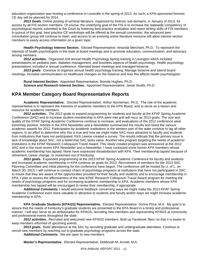education organization was hosting a conference in Louisville in the spring of 2013. As such, a KPA-sponsored forensic CE day will be planned for 2014.

*2013 Goals.* Online posting of seminal literature, organized by forensic sub-domains, in January of 2013, for access by all FIS section members. Of course, the underlying goal of the FIS is to increase the statewide competency of psychological reports submitted to the Court by fostering best-practice evaluation and report writing skills of FIS members. In pursuit of this goal, best practice CE workshops will be offered at the annual convention, the advanced peer consultation group will continue to meet, and access to an evolving online literature resource will allow interest section members to easily access information on a given topic.

**Health Psychology Interest Section.** Elected Representative: Amanda Merchant, Ph.D. To represent the interests of health psychologists in the state at board meetings and to promote education, communication, and advocacy among members.

*2012 activities.* Organized 2nd annual Health Psychology Spring training in Lexington which included presentations on pediatric pain, diabetes management, and business aspects of health psychology. Health psychology presentations included in annual conference. Attended board meetings and managed listserve.

*2013 goals.* Continue to organize annual health psychology training. Manage listserve and attend board meetings. Increase communication on healthcare changes on the listserve and how this affects health psychologists.

**Rural Interest Section.** Appointed Representative: Brenda Hughes, Ph.D. **Science and Research Interest Section.** Appointed Representative: Jamie Studts, Ph.D.

# **KPA Member Category Board Representative Reports**

**Academic Representative.** Elected Representative: Arthur Nonneman, Ph.D. The role of the academic representative is to represent the interests of academic members to the KPA Board, and to serve as a liaison and resource for academic members.

*2012 activities.* The 2012 goals to expand programming for students and faculty at the KPAF Spring Academic Conference (SAC) and to increase student membership in KPA were met and will recur as 2013 goals. The size and quality of the KPAF Spring Academic Conference continue to increase, and evaluations of the 2012 conference were extremely positive. Articles in the KPA Newsletter and e-Newsletter summarized the results and listed the various academic awards for 2012. Participation by academic institutions in the western part of the state continue to lag all other regions. In an effort to determine why this is true and how we might make SAC more attractive to faculty and students from institutions that have not participated, Rich Lewine created a survey. The results indicate that the primary issue is lack of knowledge about SAC, not a belief that SAC lacks value. Another new program targeting the needs of academic institutions is the KPAF Research Colloquium Travel Award. This newly created program was announced at the 2012 SAC and in the most recent KPA Newsletter and e-Newsletter. I have contacted some former KPA members whose academic membership has lapsed. None have expressed dissatisfaction with KPA. Their membership lapsed because of retirement, career change, or movement out of Kentucky.

*2013 goals.* Expanded programming at the 2013 KPAF Spring Academic Conference for faculty and students and increased academic membership in KPA continue as goals for 2013. Recruitment of members for the 2013 SAC Planning Committee and initial planning for the conference have begun. The conference will be hosted by U. of L. on March 30, 2013. I will continue to contact chairs of psychology programs at institutions that have not participated in SAC to insure that they are aware of the opportunities provided for their faculty and students and to encourage membership in KPA. I plan to assess the effectiveness of the new KPAF Research Colloquium Travel Award program for meeting the needs of psychology programs and for increasing academic membership in KPA. Academic members whose KPA membership has lapsed will be encouraged to renew their membership, if appropriate.

*Additional Comments.* I would welcome feedback concerning ways we might make the 2013 KPAF Spring Academic Conference even more valuable or attractive to students and faculty and/or ways we might increase academic membership in KPA.

**KPA Graduate Students (KPAGS) Representative.** Elected Representative: Donna Price, M.A. My goal is to assure that the needs of Kentucky's graduate students are presented to the KPA Board in a timely and professional manner. I will also serve as an ambassador for KPAGS, recruiting new members and representing KPAGS at community and professional events throughout the state.

*2012 activities.* Recruited and welcomed new KPAGS members. Built up Facebook 'likes' so that it is easier to keep members informed of upcoming events.

2013 goals. Build attendance at the SAC by recruiting graduate and undergraduate attendees. Continue to recruit new members by reaching out to graduate psychology programs across the state.

*Additional Comments.* We are open to new members.

**Master's Representative.** Elected Representative: Debborah M. Arnold, M.A.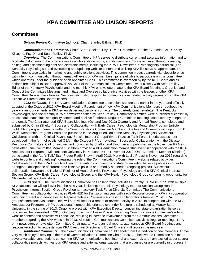# **KPA COMMITTEE AND LIAISON REPORTS**

# **Committees**

**Bylaws Review Committee** (ad hoc). Chair: Stanley Bittman, Ph.D.

**Communications Committee.** Chair: Sarah Shelton, Psy.D., MPH Members: Rachel Cummins, ABD, Kristy Kilcoyne, Psy.D., and Sean Reilley, Ph.D.

*Overview.* The Communications Committee of KPA serves to distribute current and accurate information and to facilitate dialog among the organization as a whole, its divisions, and its members. This is achieved through creating, editing, and disseminating print and electronic media, including the KPA E-Newsletter, KPA's flagship periodical (The Kentucky Psychologist), and overseeing and updating website content and utilizing KPA list servs as appropriate. The Committee is also active in marketing and public relations activities. This committee meets quarterly via teleconference with interim communication through email. All levels of KPA memberships are eligible to participate on this committee, which operates under the guidance of an appointed Chair. This committee is overseen by by the KPA Board and its actions are subject to Board approval. As Chair of the Communications Committee, I work closely with Sean Reilley, Editor of the Kentucky Psychologist and the monthly KPA e-newsletters, attend the KPA Board Meetings, Organize and Conduct the Committee Meetings, and Initiate and Oversee collaborative activities with the leaders of other KPA Committee Groups, Task Forces, Sections, etc. I also respond to communications related activity requests from the KPA Executive Director and Board Officers.

*2012 activities.* The KPA Communications Committee description was created earlier in the year and officially adopted at the October 2012 KPA Board Meeting Recruitment of new KPA Communications Members throughout the year via announcements in KPA e-newsletter and personal contacts. The quarterly print newsletter, The Kentucky Psychologist, and the monthly KPA e-newsletter edited by Sean Reilley, Committee Member, were published successfully on schedule each time with quality content and positive feedback. Regular Committee meetings conducted by telephone and email. The Chair attended KPA Board Meetings (Oct and Dec 2012) Quarterly and Annual Reports completed and submitted by Chair (Shelton) Successful Collaboration with Early Career Psychologists Mentorship Program (article highlighting program benefits written by Communications Committee Members (Shelton and Cummins with input from Dr. Willis, Mentorship Program Chair) and published in the August edition of the Kentucky Psychologist) Successful Collaboration with the Clinical Psychology Special Interest Group/Private Practice Task Force. Needs assessment developed in the form of published Q&A in the October KPA e-newsletter. Successful Collaboration with the Disaster Response Committee. Call for involvement co-written by Shelton and Hindman and published in the November KPA enewsletter. One Committee Member (Shelton) provided a KPA education/membership event in cooperation with the KPA Ambassador Program at Midcontinent University in Paducah, KY in November 2012. One Committee Member (Shelton) participated in the "Let's Talk" Stan Frager Radio Show in April 2012. Met with Leslie Proasi in November 2012 regarding website content and clarifying/increasing the role of the Communications Committee in website related activities. Collaborated with the KPA Executive Director regarding comparisons of state organization listserve policies in order to strengthen acceptance of current KPA listserve policies or to modify as needed (ongoing project). Successful collaboration between the National Register of Health Service Providers in Psychology and the KPA Clinical Interest Section Group, KPA Early Career Psychologist Group, and the KPA Health Psychology Group concerning opportunity for NR credentialing scholarships.

2013 goals. The Communications Committee has collaboration activities currently IN PROGRESS with multiple KPA factions that will spill over into the new year, including: Forensic Psychology Interest Section Group Health Psychology Interest Section Group Psychopharmacology Task Force Diversity Committee The Communications Committee has collaboration activities PLANNED for the upcoming year with each Regional group of KPA via cooperation with their current and newly elected Representatives. Previously successful collaborations from 2012 with KPA groups/committees/task forces, etc. will be revisited for a repeat or revised activity in 2013. In cooperation with the KPA Ambassador Program, a KPA educational/membership oriented event (by Shelton) is scheduled at Murray State University in the spring of 2013. Ongoing project with KPA Executive Director concerning state organization listserve policies will be completed in 2013. Ongoing project with Leslie Proasi concerning Communications Committee's role in website content and activities will conclude, resulting in increase involvement from the Communications Committee members regarding the KPA website in 2013. All routine Communications Committee activities (regular meetings, KPA print newsletter, e-newsletter, Committee Chair quarterly and annual reports, attendance at KPA Board Meetings and responsive action to requests from KPA Executive Director and Board Officers) will recur in the new year.

*Additional Comments.* The Communications Committee could benefit from the addition of new members. I have very much enjoyed serving in the role of Communications Committee Chair for 2012. I believe the Committee has made several valuable contributions concerning KPA communications both internal and external, and I am excited about several collaborative projects with various KPA groups and external organizations that are planned or are currently in progress. I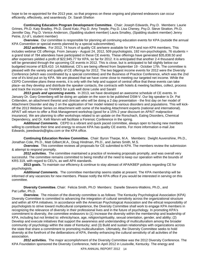hope to be re-appointed for the 2013 year, so that progress on these ongoing and planned endeavors can occur efficiently, effectively, and seamlessly. Dr. Sarah Shelton

**Continuing Education Program Development Committee.** Chair: Joseph Edwards, Psy.D. Members: Laurie Grimes, Ph.D. Katy Bradley, Ph.D. David Katz, Psy.D. Amy Teeple, Psy.D. Lisa Cheney, Psy.D. Steve Stratton, Ph.D. Jennifer Day, Psy.D. Venice Anderson, (Spalding student member) Laura Smalley, (Spalding student member) Jenny Petrie, (U of L student member)

*Overview.* Our committee is responsible for planning all continuing education events for KPA (outside the annual KPA Convention or special events planned by a special subcommittee).

*2012 activities.* For 2012, 74 hours of quality CE are/were available for KPA and non-KPA members. This includes webinar CE offerings. From January - August 24, 2012, 509 psychologists, 192 non-psychologists, 76 students = a grand total of 784 attendees have participated in these CE events. These offerings have generated \$35,838.50 and after expenses yielded a profit of \$22,945.77 for KPA, so far for 2012. It is anticipated that another 2-4 thousand dollars will be generated through the upcoming CE events in 2012. This is close, but is anticipated to fall slightly below our budgeted income of \$29,410. 14 Additional, CE's are being offered from September 19 - October 17th. The committee is pleased with the variety and quality of CE offerings for 2012. The two biggest income events for 2012 were the Diversity Conference (which was coordinated by a special committee) and the Business of Practice Conference, which was the 2nd one of it's kind put on by KPA. We are pleased that we have come close to meeting our targeted net income. While the CEPD Committee plans these events, it is only with the help and support of central office that these events can take place--as they develop and distribute the speaker contacts, the contracts with hotels & meeting facilities, collect, process and track the income--so THANKS for a job well done Leslie and Sarah!

*2013 goals and upcoming events.* In 2013, we have developed an awesome schedule of CE events. In January Dr. Gary Greenberg will be doing an update on the soon to be published DSM-V. Our big speaker is Dr. Pat Crittenden, an attachment theorist and clinician who will be doing a 2 day presentation - the first day on her model of Attachment Disorder and day 2 on the application of her model related to various disorders and populations. This will kickoff the 2013 Webinar Series on Attachment with some of the leading Attachment experts (national and international). APAIT will return to offer a Risk Management workshop (good for a 15% 2 year discount on APAIT malpractice insurance). We are planning to offer workshops related to an update on the Rorschach, Eating Disorders, Chemical Dependency, and Dr. Kelli Marvin will facilitate a Forensic Conference in the spring.

*Additional Comments.* CEPD is a vibrant and quick paced committee, always open to having new members willing to contribute their time and energy to ensure KPA has quality CE events. For more information e-mail Joe Edwards, joeedwards@iglou.com or the KPA office.

**Continuing Education Review Committee.** Chair: Byron Tharpe, M.A. Members: Dwight Auvenshine, Ph.D., Jonathan Cole, Ph.D., Matt Gilbert,M.A., Doug Hindman, Ph.D., and James Smith, M.S.

*Overview.* This committee reviews all proposals for CE submitted to KPA. The members review the submission & attempt to respond promptly.

*2012 activities.* The committee maintained a practice of reviewing proposals promptly, and was overall very successful. The committee remains committed to being mindful of the need to keep our operation within the bounds of KRS 319, with regard to CEU's, as well APA standards.

**2013 goals.** To maintain our efficiency & continue to stay abreast of APA/KBEP policies regarding CE for psychologists.

*Additional Comments.* The committee membership seems stable at present. The KPA membership will be informed of any vacancies for new members. Please notify the KPA office if you would be interested in serving on this committee.

**Diversity Committee.** Chair: Felicia Smith, Ph.D Members: Danelle Stevens-Watkins, Ph.D., and Pat Lefler, Ph.D.

*Overview.* The mission of the diversity committee is as follows: The Kentucky Psychological Association (KPA) Diversity Committee is committed to advancing the integration of cultural sensitivity across the organizational structure and within all KPA initiatives. In accordance with the American Psychological Association and the ethical responsibility of psychologists to strive toward multicultural competence, the Diversity Committee shall work to engage KPA members in recognizing the relevance of diversity in their professional lives and in the future of psychology. In promoting KPA's commitment to diversity, the committee endeavors to (1) Increase the diversity within the membership and leadership of KPA, including but not limited to: ethnicity/race, age, religion/spirituality, sexual orientation, gender, and ability; (2) Develop and execute initiatives that support the awareness and understanding of multiculturalism among the broader community of psychology within the state of Kentucky; and (3) Build and sustain relationships with organizations across the state that share a commitment to promoting multiculturalism. Ultimately, the Diversity Committee seeks to hold diversity at the forefront of the deliberations of KPA, thereby enhancing the cultural sensitivity of all activities of the association.

*2012 activities.* The major accomplishment of the Diversity Committee was the 2012 Diversity Conference. The KPA Foundation sponsored the Diversity Conference, held in April 2012 in Louisville, Kentucky. The energy and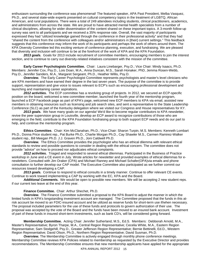enthusiasm surrounding the conference was phenomenal! The featured speaker, APA Past President, Melba Vasquez, Ph.D., and several state-wide experts presented on cultural competency topics in the treatment of LGBTQ, African American, and rural populations. There were a total of 249 attendees including students, clinical practitioners, academics, and administrators from across the state. We are proud to have attracted mental health specialists from a number of clinical disciplines, allowing for wider dissemination of the content shared on these important topics. A 3-month follow-up survey was sent to all participants and we received a 35% response rate. Overall, the vast majority of participants expressed they had "utilized knowledge gained through the conference in their professional activity" and that they had "shared the content from the conference with colleagues and/or administrators in [their] current settings." This feedback suggests that this conference may inform the work of its participants and perhaps the work of others around them. The KPA Diversity Committee led this exciting venture of conference planning, execution, and fundraising. We are pleased that diversity and inclusion will continue to be at the forefront of the work of KPA and the KPA Foundation.

*2013 goals.* Goals for 2013 include recruitment of committee members, encouraging members to join the interest section, and to continue to carry out diversity-related initiatives consistent with the mission of the committee.

**Early Career Psychologists Committee.** Chair: Laura Linebarger, Psy.D.; Vice Chair: Mindy Isaacs, Ph.D. Members: Jennifer Cox, Psy.D., Lois Doan, M.A., Anna Duncan, M.S., Sarah Honaker, PhD, Jemma Rosen-Webb, Psy.D., Jennifer Sanders, M.A., Margaret Sergeant, Ph.D., Heather Willis, Psy.D.

*Overview.* The Early Career Psychologist Committee represents psychologists and master's level clinicians who are KPA members and have earned their degree in the last seven years. The purpose of the committee is to provide support, representation and give voice to issues relevant to ECP's such as encouraging professional development and launching and maintaining career aspirations.

*2012 activities.* The ECP committee has a revolving group of projects. In 2012, we secured an ECP-specific position on the board, welcomed a new committee member, launched the fourth year of the mentorship program, launched a ECP Facebook page as part of KPA's page, welcomed new ECP members to KPA via email, assisted new members in obtaining resources such as licensing and job search sites, and sent a representative to the State Leadership Conference (SLC) as part of the Kentucky delegation where we visited our Congress and House representatives for KY.

2013 goals. We have many goals on our agenda! We'd like to become regular contributors to KPA newsletter, revive the peer supervision group in Louisville, develop an ECP award to recognize contributions of those who are emerging in the field, contribute to the KPA Foundation fundraising group to both support ECP needs and do our part to help, and continue the mentorship program.

**Ethics Committee.** Chair: Kim McClanahan, Ph.D.; Vice-Chair: Sharon Turpin, M.S. Members: Kenneth Lombart Ph.D., Donna Price student rep., Pat Burke Ph.D., Charlie Morgan Ph.D., Cay Shawler M.S., Carmen Ramirez-Walker student rep., Bill Meegan Ph.D. J.J. Graven Ph.D., Joni Caldwell Ph.D.

*Overview.* The Ethics Committee provides the psychologist who has an ethical dilemma with relevant ethical standards to review and possible questions to consider in dealing with the ethical concern. The committee does not provide "advice" on how to proceed nor adjudicates ethical complaints.

*2012 activities.* Triaged and responded to several ethical dilemmas. Participated in the Business of Practice workshop in June and a CE event in July. Wrote articles for newsletter and provided examples of ethical dilemmas for enewletters. Consulted with Jim Oraker (CPA) and Michael Ranney and Michael Schafer(OPA)via emails and phone consultation to further develop our CAP model. The Executive Committee also participated as we further commit our resources toward developing a CAP.

*2013 goals.* Continue to respond to ethical consults in a timely manner. Continue to offer relevant CE events. Continue to work toward implementing a CAP by working with the EC, KPA and the Board.

*Additional Comments.* We would be open to possible new members. We will be accepting 2 new student reps. if our current two leave at the end of this year.

#### **Finance Committee.** Chair: Arthur Shechet, Ph.D.

**Overview.** The Finance Committee submitted a proposal to the KPA Board to adjust the manner in which the limited funds in KPA's longstanding investment account are managed. The Committee proposed that the funds in this atrisk account be moved to an FDIC-insured account and be utilized as reserve funds for short-term use if/when necessary. The proposal included parameters for the use of these funds and protocols to govern authorization of their use. The proposal was accepted by the vote of the Board and the funds have been moved to an insured bank account. Investment of part of these funds in insured short-term investments, such as bank CD's, will be considered going forward.

**Membership Committee.** Acting Chair: Jennifer Sutherland, M.S., Ed.S. Members: Debborah Arnold, M.A., Master's Representative; Byron Tharpe, M.A., Central Region Representative; Cecelia White, M.A., Eastern Region Representative; Sam Stodgehill, Psy.D., Greater Jefferson Region Representative; Bernie Bettinelli, Ed.D., Western Region Representative; David Olson, Ph.D., Northern Region Representative; David Susman, Ph.D.

**Overview.** The Membership Committee is actively engaged through monthly phone conference meetings. Membership Committee reviews KPA Policies related to membership as requested by the Executive Director and provides recommendations. The Membership Committee ensures that new membership applicants have applied for the appropriate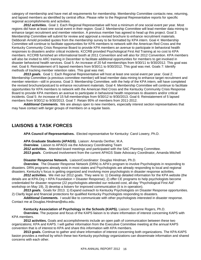category of membership and have met all requirements for membership. Membership Committee contacts new, returning, and lapsed members as identified by central office. Please refer to the Regional Representative reports for specific regional accomplishments and activities.

*2012 activities.* Goal 1: Each Regional Representative will host a minimum of one social event per year. Most regions did have at least one social event in their region. Goal 2: Membership Committee will lead member data mining to enhance target recruitment and member retention. A previous member has agreed to head up this project. Goal 3: Membership Committee will submit for review and approval a revised brochure to enhance recruitment materials. Debborah Arnold provided quotes from the membership survey to be formatted by KPA intern. Goal 4: Membership Committee will continue to facilitate opportunities for KPA members to network with the American Red Cross and the Kentucky Community Crisis Response Board to provide KPA members an avenue to participate in behavioral health responses to disasters and/or critical incidents. KCCRB provided Psychological First Aid Training at no cost to KPA members. KCCRB furnished an informational booth at 2011 Convention and will also for 2012 Convention. KPA members will also be invited to ARC training in December to facilitate additional opportunities for members to get involved in disaster behavioral health services. Goal 5: An increase of 20 full memberships from 9/30/11 to 9/30/2012. This goal was met. Goal 6: Reinstatement of 5 lapsed members from 9/30/11 to 9/30/2012. This goal was met. Goals 7: Identify methods of tracking member retention rates. This goal was met.

*2013 goals.* Goal 1: Each Regional Representative will host at least one social event per year. Goal 2: Membership Committee (a previous committee member) will lead member data mining to enhance target recruitment and member retention—still in process. Goal 3: Membership Committee, with the help of the KPA intern, will have completed the revised brochure/postcard to enhance recruitment materials. Goal 4: Membership Committee will continue to facilitate opportunities for KPA members to network with the American Red Cross and the Kentucky Community Crisis Response Board to provide KPA members an avenue to participate in behavioral health responses to disasters and/or critical incidents. Goal 5: An increase of 15 full memberships from 9/30/12 to 9/30/2013. Goal 6: Reinstatement of 5 lapsed members from 9/30/12 to 9/30/2013. Goal 7: Retain 95% of members from 2011-2012.

*Additional Comments.* We are always open to new members, especially interest section representatives that may have contact with larger groups of members on a regular basis.

# **LIAISONS & TASK FORCES**

**APA Council of Representatives.** Elected representative for Kentucky: Carol Lowery, Ph.D.

**APA Graduate Students (APAGS).** Liaison: Amanda Oerther, M.A. *Overview.* Liaison to APAGS via the Advocacy Coordinating Team *2012 activities.* Attended board meetings and participated with the SAC Planning Committee. *2013 goals.* Continued involvement from the current APAGS State Advocacy Coordinator, Amanda Mitchell

**Disaster Response Network.** Liaison/Coordinator: Douglas Hindman, Ph.D.

*Overview.* The Disaster Response Network (DRN) is APA's program to involve Psychologists in responding to disasters. DRN programs already exist in most states and Psychologists are already responding to local and regional disasters. Kentucky's focus is getting organized and involving more psychologists in disaster response activities.

*2012 activities.* We met our 2012 goals. They were to: 1) Develop detailed information for the KPA website (the details are at KPA.Org > KPA Foundation > Disaster Response); 2) offer CE programs to help psychologists become credentialed for disaster response (22 psychologists attended our reduced-cost, all-day "Psychological First Aid" workshop on May 19), 3) develop a listserv for improved communication (it is in operation).

*2013 goals.* Goals for 2013. 1) Expand outreach to Kentucky Psychologists on Disaster Response opportunities. 2) Clarify legal and financial protections for qualified Kentucky Psychologists responding to disasters.

*Additional Comments.* I would like to communicate with other psychologists interested in disaster response. Contact me at Douglas.Hindman@eku.edu.

**Kentucky Association of Psychology in the Schools (KAPS).** Liaison: Suzanne Rogers, Ph.D.

**Overview.** The purpose and focus of the KAPS liaison is to share information of interest concerning KAPS with KPA members.

**2012 activities.** Goals and accomplishments include an open path of communication between these two organizations; KPA and KAPS. I will gather information from the Executive Committee meeting at the annual KAPS convention that is of interest to KPA and share this information with KPA members.

**2013 goals.** Continue to gather and share information of interest concerning both organizations. The KPA-KAPS liasion provides a method by which these two Kentucky psychology organizations can disseminate information and shared concerns with each other.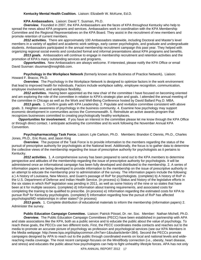#### **Kentucky Mental Health Coalition.** Liaison: Elizabeth W. McKune, Ed.D.

**KPA Ambassadors.** Liaison: David T. Susman, Ph.D.

*Overview.* Founded in 2007, the KPA Ambassadors are the faces of KPA throughout Kentucky who help to spread the news about KPA programs and services. Ambassadors work in coordination with the KPA Membership Committee and the Regional Representatives on the KPA Board. They assist in the recruitment of new members and promote retention of current members.

*2012 activities.* There are approximately 100 Ambassadors statewide, including Doctoral and Master's level members in a variety of applied and academic work settings, early career psychologists, and graduate and undergraduate students. Ambassadors participated in the annual membership recruitment campaign this past year. They helped with organizing regional social events and conducted formal and informal presentations about KPA programs and benefits.

*2013 goals.* Ambassadors will continue to engage in membership recruitment and retention activities and the promotion of KPA's many outstanding services and programs.

*Opportunities.* New Ambassadors are always welcome. If interested, please notify the KPA Office or email David Susman: dsusman@insightbb.com.

**Psychology in the Workplace Network** (formerly known as the Business of Practice Network)**.** Liaison: Howard F. Bracco, Ph.D.

*Overview.* The Psychology in the Workplace Network is designed to optimize factors in the work environment that lead to improved health for individuals. Factors include workplace safety, employee recognition, communication, employee involvement, and workplace flexibility.

 *2012 activities.* Having been appointed as the new chair of the committee I have focused on becoming oriented and am exploring the role of the committee in relation to KPA's strategic plan and goals. I attended the annual meeting of the committee in Chicago as well as the Work and Well-Being Conference hosted by David Ballard Psy.D. MBA.

*2013 goals.* 1. Confirm goals with KPA Leadership. 2. Populate and revitalize committee consistent with above goals. 3. Heighten awareness of psychology in the business community. 4. Examine how psychology may support economic development in communities across the Commonwealth. 5. Reinstitute an active awards program that recognizes businesses committed to creating psychologically healthy workplaces.

*Opportunities for involvement.* If you have an interest in the committee please let me know through the KPA Office or through direct contact. I anticipate activating the committee and its work following the November Annual KPA Convention.

**Psychopharmacology Task Force.** Liaison**:** Lyle Carlson, Ph.D. Members: Brandon C Dennis, Ph.D., Charles Jones, Ph.D., Eric Russ, and Jason King

*Overview.* The purpose of the Task Force is to provide information to the members regarding the status of the pursuit of prescriptive authority for psychologists at the National level. Additionally, the focus is to gather data to determine the collective views of the membership regarding the issue of prescriptive authority for psychologists as it pertains to Kentucky.

*2012 activities.* 1. A comprehensive survey has been prepared to send out to the KPA members to determine perspective and attitudes of the membership regarding the issue of prescriptive authority for psychologists. It will be administered once an informational campaign has been fully developed and distributed to the membership. 2. A series of information papers are being developed to provide information to the membership on the issue of prescriptive authority in an attempt to educate the membership prior to administration of the survey. The information papers include the following: a ) A history of Louisiana, New Mexico, and Guam's passage of RxP for psychologists. (complete) b) A history of RxP in the U.S. Department of Defense and Indian Health Service. (in process) c) Status and history of the legislative efforts in the six states in which RxP legislation was pending in 2011, as well as some history of the nine or so states that have been at it for multiple sessions. (complete) d) Information about training requirements, and associated costs for completing the training to be qualified to prescribe. (in process) e) Information regarding the estimated costs for KPA to pursue RxP for Kentucky psychologists. (complete) f) Information regarding how the pursuit of RxP has affected psychologist/MD relationships in other states? (in process)

*2013 goals.* 1. Complete distribution of educational materials to inform the membership (information papers) 2. Administer the survey.

**Public Education Campaign Committee.** Liaison: Patrick Pössel, Dr. rer. Soc. Member: Nathan Michell, Ph.D. *Overview.* The Public Education Campaign Committees (PECC) have been established in partnership with APA and state associations like the KPA, both as a public service and to educate the public about the value of psychology. To reach these goals, the PECCs use two different tools. First, the PECC coordinates media contacts and reaches out to the media to promote an accurate picture of psychology as profession and psychological services (see our KPA Members in the Media webpage: http://www.kpa.org/displaycommon.cfm?an=1&subarticlenbr=384). Second the PECCs promote campaigns designed by APA to reach out to the public through coordinated events on local and national levels and widereaching media coverage. The most recent campaign focuses on the Mind/Body connection (i.e., obesity, heart disease, and stress) and educates the public about how psychologists can help to fight unhealthy lifestyle forces. APA has not only

KPA ANNUAL REPORT 2012 17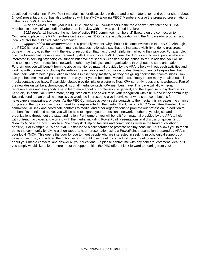developed material (incl. PowerPoint material, tips for discussions with the audience, material to hand out) for short (about 1 hour) presentations but has also partnered with the YMCA allowing PECC Members to give the prepared presentations in their local YMCA facilities.

*2012 activities.* In the year 2011-2012 I placed 14 KPA-Members in the radio show "Let's talk" and 3 KPA-Members in shows of Coxmedia. Further, I an interview with me was published in Allure.

*2013 goals.* 1) Increase the number of active PEC committee members. 2) Expand on the connection to Coxmedia to place more KPA members on their shows. 3) Organize in collaboration with the Ambassador program and local YMCA's the public education campaign.

*Opportunities for involvement.* You probably wonder 'why should I become involved in the PECC?' Although the PECC is not a referral campaign, many colleagues nationwide say that the increased visibility of doing grassroots outreach has provided them with the kind of recognition that has proved helpful in marketing their practice. For example, giving a PowerPoint presentation prepared by APA at your local YMCA opens the door for you to meet people who are interested in seeking psychological support but have not seriously considered the option so far. In addition, you will be able to expand your professional network to other psychologists and organizations throughout the state and nation. Furthermore, you will benefit from the above mentioned material provided by the APA to help with outreach activities and working with the media, including PowerPoint presentations and discussion guides. Finally, many colleagues feel that using their work to help a population in need is in itself very satisfying as they are giving back to their communities. How can you become involved? There are three ways for you to become involved: First, simply inform me by email about all media contacts you have. If available, please provide links or electronic files. KPA currently redesigns its webpage. Part of the new design will be a chronological list of all media contacts KPA members have. This page will allow media representatives and everybody else to learn more about our profession, in general, and the expertise of psychologists in Kentucky, in particular. Furthermore, being listed on this page will raise your recognition within KPA and in the community. Second, send me an email with topics you would be interested to give interviews or write short contributions for newspapers, magazines, or blogs. As the PEC Committee actively seeks contacts to the media, this increases the chance for you and the topics close to your heart to be represented in the media. Third, become PEC Committee Member! This committee will seek and coordinate contacts to media, and other organizations to promote our profession. In addition to the benefits mentioned above, you will be able to expand your professional network to other psychologists and organizations throughout the state and nation. Furthermore, you will benefit from material provided by the APA to help with outreach activities and working with the media, including PowerPoint presentations and discussion guides (e.g., "Healthy Mind and Body…Talk to a Psychologist" "Helping families and communities reverse the trend of childhood obesity"). For example, APA and YMCA established a collaboration to promote healthy behavior. This allows you to reach out to the community by giving a short (about 1 hour) presentation using a PowerPoint presentation prepared by APA in your local YMCA. This opens the door for you to meet people who are interested in seeking psychological support but have not seriously considered the option so far. I would love to get in contact with you to get to know your ideas, learn about your media contacts, and answer all your questions. So please contact me with any concern, comment, idea, or if you simply would like to learn more about the opportunities the PEC offers. I look forward to hearing from you!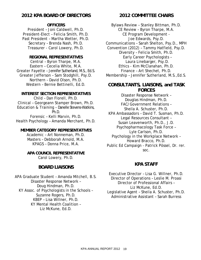# **2012 KPA BOARD OF DIRECTORS**

# **OFFICERS**

President – Joni Caldwell, Ph.D. President-Elect – Felicia Smith, Ph.D. Past President – Martha Wetter, Ph.D. Secretary – Brenda Nash, Ph.D. Treasurer - Carol Lowery, Ph.D.

# **REGIONAL REPRESENTATIVES**

Central – Byron Tharpe, M.A. Eastern – Cecelia White, M.A. Greater Fayette – Jennifer Sutherland, M.S., Ed.S. Greater Jefferson – Sam Stodghill, Psy.D. Northern – David Olson, Ph.D. Western – Bernie Bettinelli, Ed.D.

# **INTEREST SECTION REPRESENTATIVES**

Child – Dan Florell, Ph.D. Clinical – Georgeann Stamper Brown, Ph.D. Education & Training – Danelle Stevens-Watkins, Ph.D. Forensic – Kelli Marvin, Ph.D. Health Psychology – Amanda Merchant, Ph.D.

# **MEMBER CATEGORY REPRESENTATIVES**

Academic – Art Nonneman, Ph.D. Masters – Debborah Arnold, M.A. KPAGS – Donna Price, M.A.

# **APA COUNCIL REPRESENTATIVE**  Carol Lowery, Ph.D.

# **BOARD LIAISONS**

APA Graduate Student – Amanda Mitchell, B.S. Disaster Response Network – Doug Hindman, Ph.D. KY Assoc. of Psychologists in the Schools – Suzanne Rogers, Ph.D. KBEP – Lisa Willner, Ph.D. KY Mental Health Coalition – Liz McKune, Ed.D.

**2012 COMMITTEE CHAIRS**

Bylaws Review – Stanley Bittman, Ph.D. CE Review – Byron Tharpe, M.A. CE Program Development - Joe Edwards, Psy.D. Communications – Sarah Shelton, Psy.D., MPH Convention (2012) – Tammy Hatfield, Psy.D. Diversity – Felicia Smith, Ph.D. Early Career Psychologists – Laura Linebarger, Psy.D. Ethics - Kim McClanahan, Ph.D. Finance – Art Shechet, Ph.D. Membership – Jennifer Sutherland, M.S.,Ed.S.

# **CONSULTANTS, LIAISONS, and TASK FORCES**

Disaster Response Network – Douglas Hindman, Ph.D. FAC/Government Relations – Sheila A. Schuster, Ph.D. KPA Ambassadors – David T. Susman, Ph.D. Legal Resources Consultant – Susan Leavenworth, Ph.D., J.D. Psychopharmacology Task Force – Lyle Carlson, Ph.D. Psychology in the Workplace Network – Howard Bracco, Ph.D. Public Ed Campaign - Patrick Pössel, Dr. rer. soc.

# **KPA STAFF**

Executive Director – Lisa G. Willner, Ph.D. Director of Operations – Leslie M. Proasi Director of Professional Affairs – Liz McKune, Ed.D. Legislative Agent – Sheila A. Schuster, Ph.D. Administrative Assistant – Sarah Burress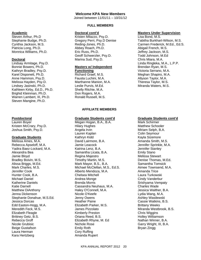# **Welcome KPA New Members**

Joined between 11/01/11 – 10/31/12

# **Academic**

Steven Arthur, Ph.D Stephanie Budge, Ph.D. Cynthia Jackson, M.S. Patricia Long, Ph.D. Monnica Williams, Ph.D.

## **Doctoral**

Lindsay Armitage, Psy.D. Bonnie Bowers, Ph.D. Kathryn Bradley, Psy.D. Karel Disponett, Ph.D. Anne Hammon, Psy.D. Melissa Hayden, Psy.D. Lindsey Jasinski, Ph.D. Kathleen Kirby, Ed.D., Ph.D. Brighid Kleinman, Ph.D. Warren Lambert, III, Ph.D. Steven Mangine, Ph.D.

## **Postdoctoral**

Lauren Boyer Kristen McCrary, Psy.D. Joshua Smith, Psy.D.

## **Graduate Students**

Melissa Ames, M.A. Rebecca Apseloff, M.A. Yadira Baez-Lockard, M.A. Alexandra Bea Jamie Bloyd Bradley Boivin, M.S. Alissa Briggs, M.Ed. Mark Charles, M.S. Jennifer Cook Hunter Cook, B.A. Michael Daniel Katherine Daniels Katie Darnell Matthew DiAnthony Jenna Dickenson Stephanie Donahue, M.S.Ed. Jessica Dorcas Edd Easton-Hogg, M.A. Meredith Feck, M.S. Elizabeth Fleagle Brittney Getz, B.S. Rebecca Groff Nicole Grubisic Beige Gustafson Laura Herman Kara Hertzberg

## **FULL MEMBERS**

#### **Doctoral cont'd**

Kristen Milazzo, Psy.D. Gregory Perri, Psy.D Denise Reding-Jones, Ph.D. Abbey Roach, Ph.D. Eric Russ, Ph.D. Geoff Schwerzler, Psy.D. Marina Sud, Psy.D.

## **Masters w/ Independent Functioning**

Richard Graef, M.S. Fausta Luchini, M.A. Marthanne Manion, M.A. Leslie Purvis, M.Ed. Shelly Ritchie, M.A. Don Rogers, M.A. Ronald Russell, M.S.

## **AFFILIATE MEMBERS**

## **Graduate Students cont'd**

Megan Hogan, B.A., B.A. Hilary Hughes Angela Irvin Lauren Kaplan Kathryn Kidd David Lairmore, B.A. Jamie Leacock Katrina Lenz, B.A. Samantha Licata, B.A. Regina Majestro Timothy Martin, M.S. Mark Mayor, B.S., B.A. Michael McClellan, M.S., Ed.S. Alberto Mendoza, M.A. Chelsea Mitchell Andrea Monge Brenda Morris Cassandra Neuhaus, M.A. Haley O'Connell, M.A. Nicole O'Keefe Jenny Owens Heather Paine Elizabeth Parker, M.S. James Pizzolato Kimberly Preston Oriana Reed, B.S. Elizabeth Rhyne, M. Ed Nichole Rose Emily Roth Cory Ruffing Amanda Rupert

#### **Masters Under Supervision**

Lisa Bond, M.S. Tabitha Burkhart-Wilson, M.S. Carmen Frederick, M.Ed., Ed.S. Abigail French, M.S. Jeffrey Jackson, M.S. Todd Johnson, M.Ed Chris Miara, M.A. Linda Ringleka, M.A., L.P.P. Brendan Ryan, M.S. Victoria Serrano, M.A. Meghan Shapiro, M.A. Allyson Taylor, M.A. Theresa Taylor, M.S. Miranda Waters, M.S.

## **Graduate Students cont'd**

Mark Schirmer Matthew Schooler Miriam Selph, B.A. Colin Seymour Kayla Sizemore Amanda Smith, M.S. Jennifer Sprinkle, M.A. Jennifer Stanley Emily Stano Melissa Stewart Denise Thomas, M.Ed. Samantha Tomsick Aimee Townsend, M.A. Amanda Trice Laura Turkowski Cindy Vanderbur Srishyama Vempaty Charles Wade Jessica Walther, B.A. Lydia Wang, M.A. Ashley Wasilewski Cassie Watkins, B.S. Brittany Weeks Miranda Westbrook, B.S. Chris Wiggins Holley Williamson Nathan Winner, B.A. Garry Wright, III, B.A. Bryan Zingg